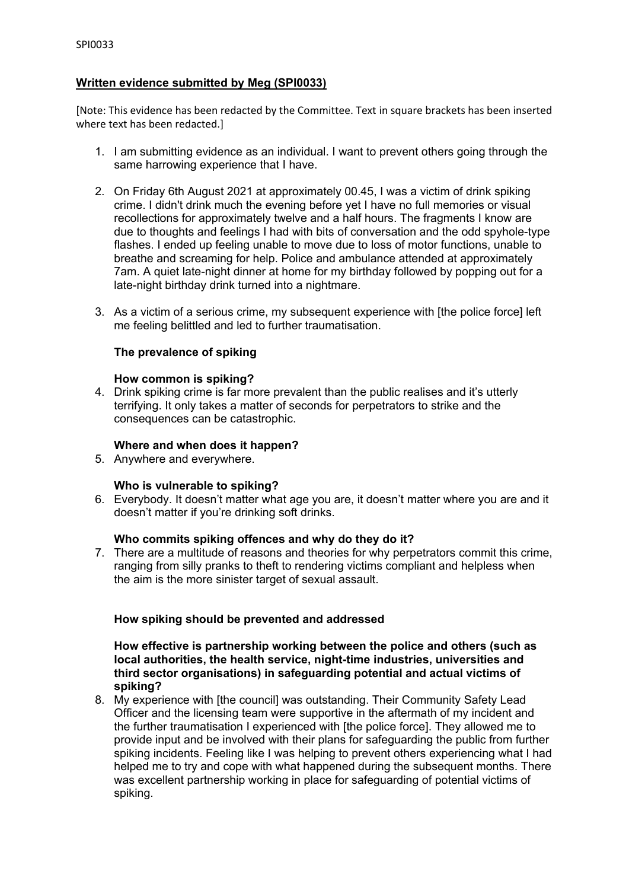# **Written evidence submitted by Meg (SPI0033)**

[Note: This evidence has been redacted by the Committee. Text in square brackets has been inserted where text has been redacted.]

- 1. I am submitting evidence as an individual. I want to prevent others going through the same harrowing experience that I have.
- 2. On Friday 6th August 2021 at approximately 00.45, I was a victim of drink spiking crime. I didn't drink much the evening before yet I have no full memories or visual recollections for approximately twelve and a half hours. The fragments I know are due to thoughts and feelings I had with bits of conversation and the odd spyhole-type flashes. I ended up feeling unable to move due to loss of motor functions, unable to breathe and screaming for help. Police and ambulance attended at approximately 7am. A quiet late-night dinner at home for my birthday followed by popping out for a late-night birthday drink turned into a nightmare.
- 3. As a victim of a serious crime, my subsequent experience with [the police force] left me feeling belittled and led to further traumatisation.

## **The prevalence of spiking**

#### **How common is spiking?**

4. Drink spiking crime is far more prevalent than the public realises and it's utterly terrifying. It only takes a matter of seconds for perpetrators to strike and the consequences can be catastrophic.

### **Where and when does it happen?**

5. Anywhere and everywhere.

# **Who is vulnerable to spiking?**

6. Everybody. It doesn't matter what age you are, it doesn't matter where you are and it doesn't matter if you're drinking soft drinks.

### **Who commits spiking offences and why do they do it?**

7. There are a multitude of reasons and theories for why perpetrators commit this crime, ranging from silly pranks to theft to rendering victims compliant and helpless when the aim is the more sinister target of sexual assault.

# **How spiking should be prevented and addressed**

**How effective is partnership working between the police and others (such as local authorities, the health service, night-time industries, universities and third sector organisations) in safeguarding potential and actual victims of spiking?**

8. My experience with [the council] was outstanding. Their Community Safety Lead Officer and the licensing team were supportive in the aftermath of my incident and the further traumatisation I experienced with [the police force]. They allowed me to provide input and be involved with their plans for safeguarding the public from further spiking incidents. Feeling like I was helping to prevent others experiencing what I had helped me to try and cope with what happened during the subsequent months. There was excellent partnership working in place for safeguarding of potential victims of spiking.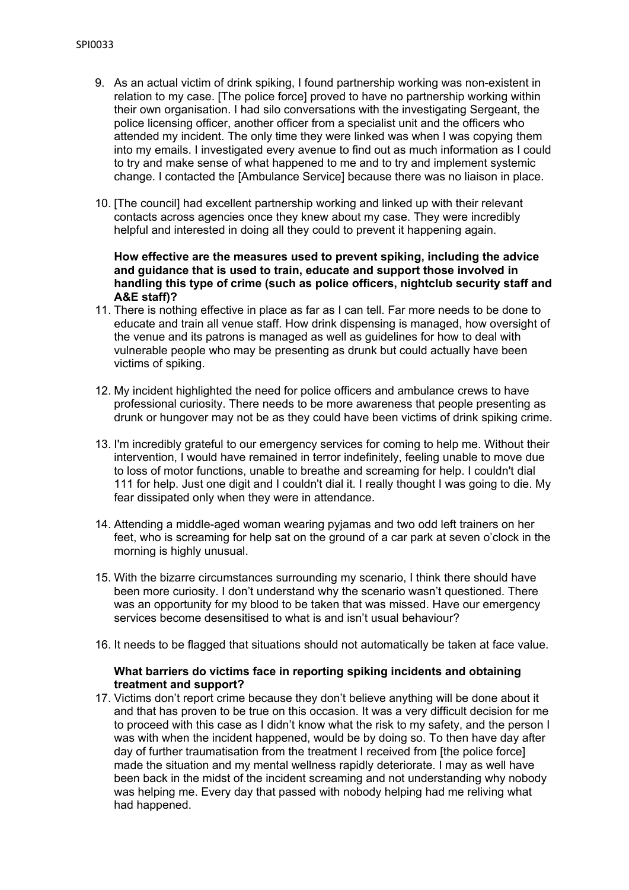- 9. As an actual victim of drink spiking, I found partnership working was non-existent in relation to my case. [The police force] proved to have no partnership working within their own organisation. I had silo conversations with the investigating Sergeant, the police licensing officer, another officer from a specialist unit and the officers who attended my incident. The only time they were linked was when I was copying them into my emails. I investigated every avenue to find out as much information as I could to try and make sense of what happened to me and to try and implement systemic change. I contacted the [Ambulance Service] because there was no liaison in place.
- 10. [The council] had excellent partnership working and linked up with their relevant contacts across agencies once they knew about my case. They were incredibly helpful and interested in doing all they could to prevent it happening again.

### **How effective are the measures used to prevent spiking, including the advice and guidance that is used to train, educate and support those involved in handling this type of crime (such as police officers, nightclub security staff and A&E staff)?**

- 11. There is nothing effective in place as far as I can tell. Far more needs to be done to educate and train all venue staff. How drink dispensing is managed, how oversight of the venue and its patrons is managed as well as guidelines for how to deal with vulnerable people who may be presenting as drunk but could actually have been victims of spiking.
- 12. My incident highlighted the need for police officers and ambulance crews to have professional curiosity. There needs to be more awareness that people presenting as drunk or hungover may not be as they could have been victims of drink spiking crime.
- 13. I'm incredibly grateful to our emergency services for coming to help me. Without their intervention, I would have remained in terror indefinitely, feeling unable to move due to loss of motor functions, unable to breathe and screaming for help. I couldn't dial 111 for help. Just one digit and I couldn't dial it. I really thought I was going to die. My fear dissipated only when they were in attendance.
- 14. Attending a middle-aged woman wearing pyjamas and two odd left trainers on her feet, who is screaming for help sat on the ground of a car park at seven o'clock in the morning is highly unusual.
- 15. With the bizarre circumstances surrounding my scenario, I think there should have been more curiosity. I don't understand why the scenario wasn't questioned. There was an opportunity for my blood to be taken that was missed. Have our emergency services become desensitised to what is and isn't usual behaviour?
- 16. It needs to be flagged that situations should not automatically be taken at face value.

## **What barriers do victims face in reporting spiking incidents and obtaining treatment and support?**

17. Victims don't report crime because they don't believe anything will be done about it and that has proven to be true on this occasion. It was a very difficult decision for me to proceed with this case as I didn't know what the risk to my safety, and the person I was with when the incident happened, would be by doing so. To then have day after day of further traumatisation from the treatment I received from [the police force] made the situation and my mental wellness rapidly deteriorate. I may as well have been back in the midst of the incident screaming and not understanding why nobody was helping me. Every day that passed with nobody helping had me reliving what had happened.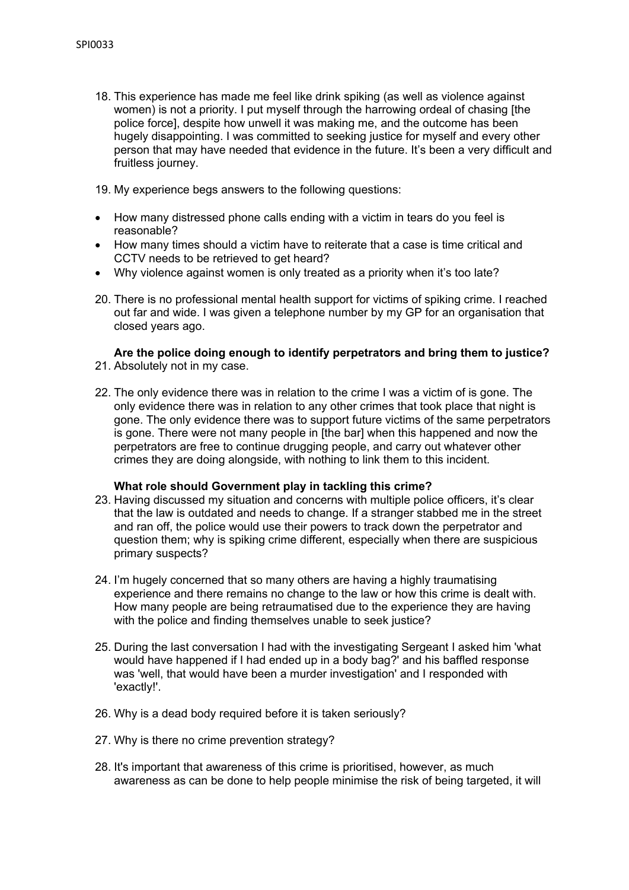18. This experience has made me feel like drink spiking (as well as violence against women) is not a priority. I put myself through the harrowing ordeal of chasing [the police force], despite how unwell it was making me, and the outcome has been hugely disappointing. I was committed to seeking justice for myself and every other person that may have needed that evidence in the future. It's been a very difficult and fruitless journey.

19. My experience begs answers to the following questions:

- How many distressed phone calls ending with a victim in tears do you feel is reasonable?
- How many times should a victim have to reiterate that a case is time critical and CCTV needs to be retrieved to get heard?
- Why violence against women is only treated as a priority when it's too late?
- 20. There is no professional mental health support for victims of spiking crime. I reached out far and wide. I was given a telephone number by my GP for an organisation that closed years ago.

#### **Are the police doing enough to identify perpetrators and bring them to justice?** 21. Absolutely not in my case.

- 
- 22. The only evidence there was in relation to the crime I was a victim of is gone. The only evidence there was in relation to any other crimes that took place that night is gone. The only evidence there was to support future victims of the same perpetrators is gone. There were not many people in [the bar] when this happened and now the perpetrators are free to continue drugging people, and carry out whatever other crimes they are doing alongside, with nothing to link them to this incident.

# **What role should Government play in tackling this crime?**

- 23. Having discussed my situation and concerns with multiple police officers, it's clear that the law is outdated and needs to change. If a stranger stabbed me in the street and ran off, the police would use their powers to track down the perpetrator and question them; why is spiking crime different, especially when there are suspicious primary suspects?
- 24. I'm hugely concerned that so many others are having a highly traumatising experience and there remains no change to the law or how this crime is dealt with. How many people are being retraumatised due to the experience they are having with the police and finding themselves unable to seek justice?
- 25. During the last conversation I had with the investigating Sergeant I asked him 'what would have happened if I had ended up in a body bag?' and his baffled response was 'well, that would have been a murder investigation' and I responded with 'exactly!'.
- 26. Why is a dead body required before it is taken seriously?
- 27. Why is there no crime prevention strategy?
- 28. It's important that awareness of this crime is prioritised, however, as much awareness as can be done to help people minimise the risk of being targeted, it will